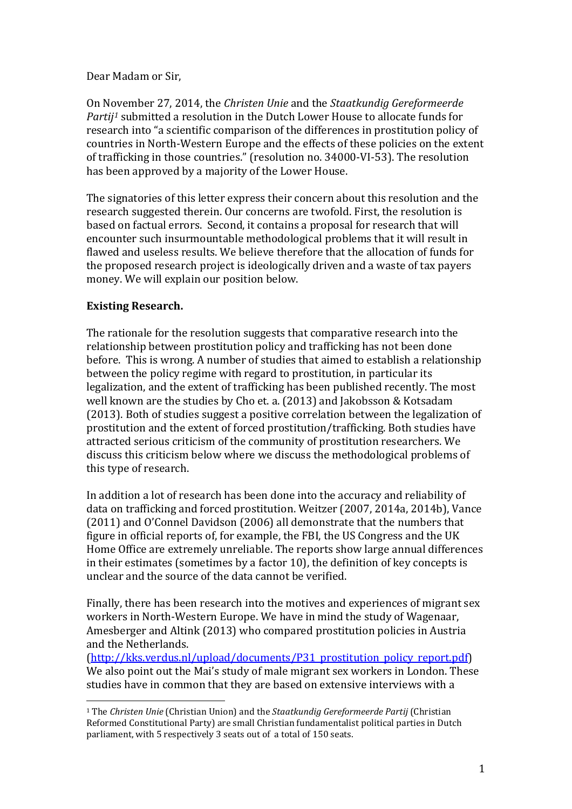Dear Madam or Sir,

On November 27, 2014, the *Christen Unie* and the *Staatkundig Gereformeerde Partij[1](#page-0-0)* submitted a resolution in the Dutch Lower House to allocate funds for research into "a scientific comparison of the differences in prostitution policy of countries in North-Western Europe and the effects of these policies on the extent of trafficking in those countries." (resolution no. 34000-VI-53). The resolution has been approved by a majority of the Lower House.

The signatories of this letter express their concern about this resolution and the research suggested therein. Our concerns are twofold. First, the resolution is based on factual errors. Second, it contains a proposal for research that will encounter such insurmountable methodological problems that it will result in flawed and useless results. We believe therefore that the allocation of funds for the proposed research project is ideologically driven and a waste of tax payers money. We will explain our position below.

# **Existing Research.**

The rationale for the resolution suggests that comparative research into the relationship between prostitution policy and trafficking has not been done before. This is wrong. A number of studies that aimed to establish a relationship between the policy regime with regard to prostitution, in particular its legalization, and the extent of trafficking has been published recently. The most well known are the studies by Cho et. a. (2013) and Jakobsson & Kotsadam (2013). Both of studies suggest a positive correlation between the legalization of prostitution and the extent of forced prostitution/trafficking. Both studies have attracted serious criticism of the community of prostitution researchers. We discuss this criticism below where we discuss the methodological problems of this type of research.

In addition a lot of research has been done into the accuracy and reliability of data on trafficking and forced prostitution. Weitzer (2007, 2014a, 2014b), Vance (2011) and O'Connel Davidson (2006) all demonstrate that the numbers that figure in official reports of, for example, the FBI, the US Congress and the UK Home Office are extremely unreliable. The reports show large annual differences in their estimates (sometimes by a factor 10), the definition of key concepts is unclear and the source of the data cannot be verified.

Finally, there has been research into the motives and experiences of migrant sex workers in North-Western Europe. We have in mind the study of Wagenaar, Amesberger and Altink (2013) who compared prostitution policies in Austria and the Netherlands.

[\(http://kks.verdus.nl/upload/documents/P31\\_prostitution\\_policy\\_report.pdf\)](http://kks.verdus.nl/upload/documents/P31_prostitution_policy_report.pdf) We also point out the Mai's study of male migrant sex workers in London. These studies have in common that they are based on extensive interviews with a

<span id="page-0-0"></span> <sup>1</sup> The *Christen Unie* (Christian Union) and the *Staatkundig Gereformeerde Partij* (Christian Reformed Constitutional Party) are small Christian fundamentalist political parties in Dutch parliament, with 5 respectively 3 seats out of a total of 150 seats.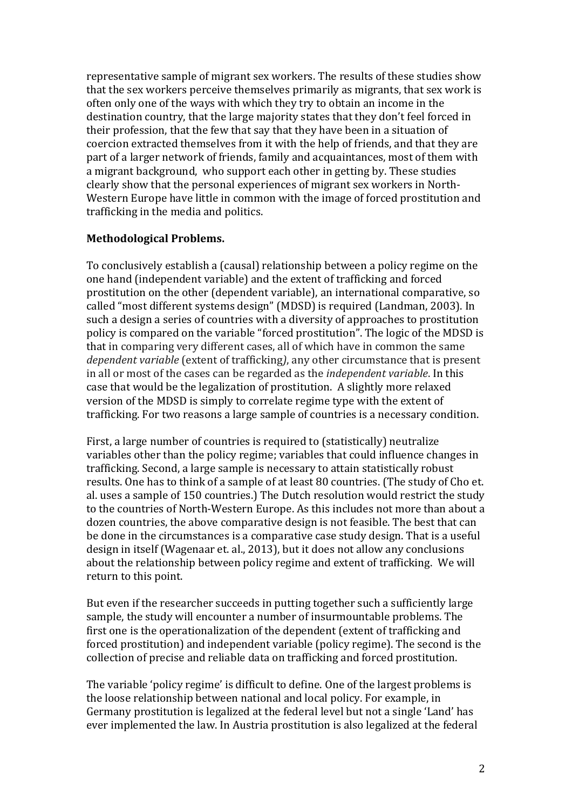representative sample of migrant sex workers. The results of these studies show that the sex workers perceive themselves primarily as migrants, that sex work is often only one of the ways with which they try to obtain an income in the destination country, that the large majority states that they don't feel forced in their profession, that the few that say that they have been in a situation of coercion extracted themselves from it with the help of friends, and that they are part of a larger network of friends, family and acquaintances, most of them with a migrant background, who support each other in getting by. These studies clearly show that the personal experiences of migrant sex workers in North-Western Europe have little in common with the image of forced prostitution and trafficking in the media and politics.

### **Methodological Problems.**

To conclusively establish a (causal) relationship between a policy regime on the one hand (independent variable) and the extent of trafficking and forced prostitution on the other (dependent variable), an international comparative, so called "most different systems design" (MDSD) is required (Landman, 2003). In such a design a series of countries with a diversity of approaches to prostitution policy is compared on the variable "forced prostitution". The logic of the MDSD is that in comparing very different cases, all of which have in common the same *dependent variable* (extent of trafficking*)*, any other circumstance that is present in all or most of the cases can be regarded as the *independent variable*. In this case that would be the legalization of prostitution. A slightly more relaxed version of the MDSD is simply to correlate regime type with the extent of trafficking. For two reasons a large sample of countries is a necessary condition.

First, a large number of countries is required to (statistically) neutralize variables other than the policy regime; variables that could influence changes in trafficking. Second, a large sample is necessary to attain statistically robust results. One has to think of a sample of at least 80 countries. (The study of Cho et. al. uses a sample of 150 countries.) The Dutch resolution would restrict the study to the countries of North-Western Europe. As this includes not more than about a dozen countries, the above comparative design is not feasible. The best that can be done in the circumstances is a comparative case study design. That is a useful design in itself (Wagenaar et. al., 2013), but it does not allow any conclusions about the relationship between policy regime and extent of trafficking. We will return to this point.

But even if the researcher succeeds in putting together such a sufficiently large sample, the study will encounter a number of insurmountable problems. The first one is the operationalization of the dependent (extent of trafficking and forced prostitution) and independent variable (policy regime). The second is the collection of precise and reliable data on trafficking and forced prostitution.

The variable 'policy regime' is difficult to define. One of the largest problems is the loose relationship between national and local policy. For example, in Germany prostitution is legalized at the federal level but not a single 'Land' has ever implemented the law. In Austria prostitution is also legalized at the federal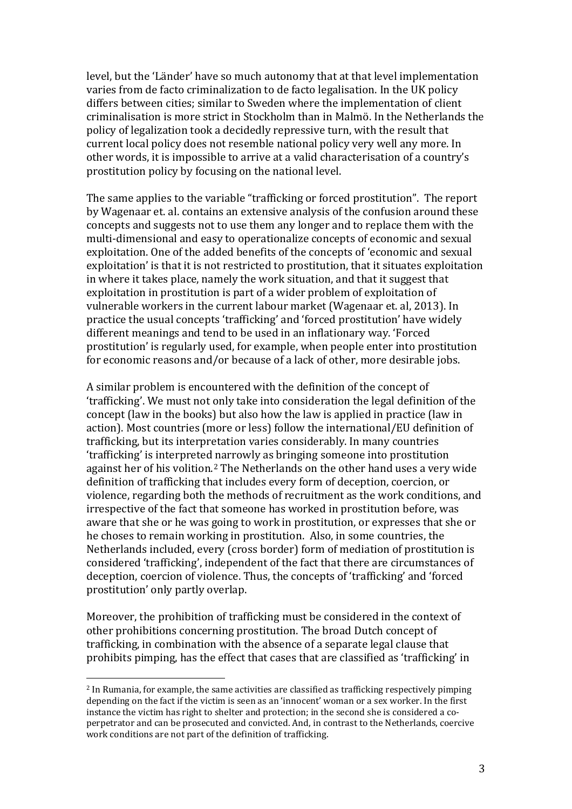level, but the 'Länder' have so much autonomy that at that level implementation varies from de facto criminalization to de facto legalisation. In the UK policy differs between cities; similar to Sweden where the implementation of client criminalisation is more strict in Stockholm than in Malmö. In the Netherlands the policy of legalization took a decidedly repressive turn, with the result that current local policy does not resemble national policy very well any more. In other words, it is impossible to arrive at a valid characterisation of a country's prostitution policy by focusing on the national level.

The same applies to the variable "trafficking or forced prostitution". The report by Wagenaar et. al. contains an extensive analysis of the confusion around these concepts and suggests not to use them any longer and to replace them with the multi-dimensional and easy to operationalize concepts of economic and sexual exploitation. One of the added benefits of the concepts of 'economic and sexual exploitation' is that it is not restricted to prostitution, that it situates exploitation in where it takes place, namely the work situation, and that it suggest that exploitation in prostitution is part of a wider problem of exploitation of vulnerable workers in the current labour market (Wagenaar et. al, 2013). In practice the usual concepts 'trafficking' and 'forced prostitution' have widely different meanings and tend to be used in an inflationary way. 'Forced prostitution' is regularly used, for example, when people enter into prostitution for economic reasons and/or because of a lack of other, more desirable jobs.

A similar problem is encountered with the definition of the concept of 'trafficking'. We must not only take into consideration the legal definition of the concept (law in the books) but also how the law is applied in practice (law in action). Most countries (more or less) follow the international/EU definition of trafficking, but its interpretation varies considerably. In many countries 'trafficking' is interpreted narrowly as bringing someone into prostitution against her of his volition.[2](#page-2-0) The Netherlands on the other hand uses a very wide definition of trafficking that includes every form of deception, coercion, or violence, regarding both the methods of recruitment as the work conditions, and irrespective of the fact that someone has worked in prostitution before, was aware that she or he was going to work in prostitution, or expresses that she or he choses to remain working in prostitution. Also, in some countries, the Netherlands included, every (cross border) form of mediation of prostitution is considered 'trafficking', independent of the fact that there are circumstances of deception, coercion of violence. Thus, the concepts of 'trafficking' and 'forced prostitution' only partly overlap.

Moreover, the prohibition of trafficking must be considered in the context of other prohibitions concerning prostitution. The broad Dutch concept of trafficking, in combination with the absence of a separate legal clause that prohibits pimping, has the effect that cases that are classified as 'trafficking' in

<span id="page-2-0"></span> <sup>2</sup> In Rumania, for example, the same activities are classified as trafficking respectively pimping depending on the fact if the victim is seen as an 'innocent' woman or a sex worker. In the first instance the victim has right to shelter and protection; in the second she is considered a coperpetrator and can be prosecuted and convicted. And, in contrast to the Netherlands, coercive work conditions are not part of the definition of trafficking.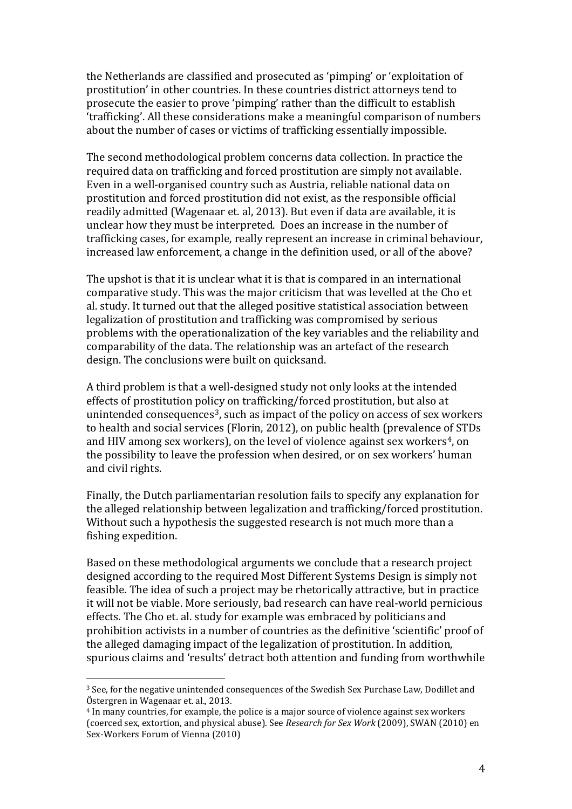the Netherlands are classified and prosecuted as 'pimping' or 'exploitation of prostitution' in other countries. In these countries district attorneys tend to prosecute the easier to prove 'pimping' rather than the difficult to establish 'trafficking'. All these considerations make a meaningful comparison of numbers about the number of cases or victims of trafficking essentially impossible.

The second methodological problem concerns data collection. In practice the required data on trafficking and forced prostitution are simply not available. Even in a well-organised country such as Austria, reliable national data on prostitution and forced prostitution did not exist, as the responsible official readily admitted (Wagenaar et. al, 2013). But even if data are available, it is unclear how they must be interpreted. Does an increase in the number of trafficking cases, for example, really represent an increase in criminal behaviour, increased law enforcement, a change in the definition used, or all of the above?

The upshot is that it is unclear what it is that is compared in an international comparative study. This was the major criticism that was levelled at the Cho et al. study. It turned out that the alleged positive statistical association between legalization of prostitution and trafficking was compromised by serious problems with the operationalization of the key variables and the reliability and comparability of the data. The relationship was an artefact of the research design. The conclusions were built on quicksand.

A third problem is that a well-designed study not only looks at the intended effects of prostitution policy on trafficking/forced prostitution, but also at unintended consequences<sup>[3](#page-3-0)</sup>, such as impact of the policy on access of sex workers to health and social services (Florin, 2012), on public health (prevalence of STDs and HIV among sex workers), on the level of violence against sex workers<sup>[4](#page-3-1)</sup>, on the possibility to leave the profession when desired, or on sex workers' human and civil rights.

Finally, the Dutch parliamentarian resolution fails to specify any explanation for the alleged relationship between legalization and trafficking/forced prostitution. Without such a hypothesis the suggested research is not much more than a fishing expedition.

Based on these methodological arguments we conclude that a research project designed according to the required Most Different Systems Design is simply not feasible. The idea of such a project may be rhetorically attractive, but in practice it will not be viable. More seriously, bad research can have real-world pernicious effects. The Cho et. al. study for example was embraced by politicians and prohibition activists in a number of countries as the definitive 'scientific' proof of the alleged damaging impact of the legalization of prostitution. In addition, spurious claims and 'results' detract both attention and funding from worthwhile

<span id="page-3-0"></span> <sup>3</sup> See, for the negative unintended consequences of the Swedish Sex Purchase Law, Dodillet and Östergren in Wagenaar et. al., 2013.

<span id="page-3-1"></span><sup>4</sup> In many countries, for example, the police is a major source of violence against sex workers (coerced sex, extortion, and physical abuse). See *Research for Sex Work* (2009), SWAN (2010) en Sex-Workers Forum of Vienna (2010)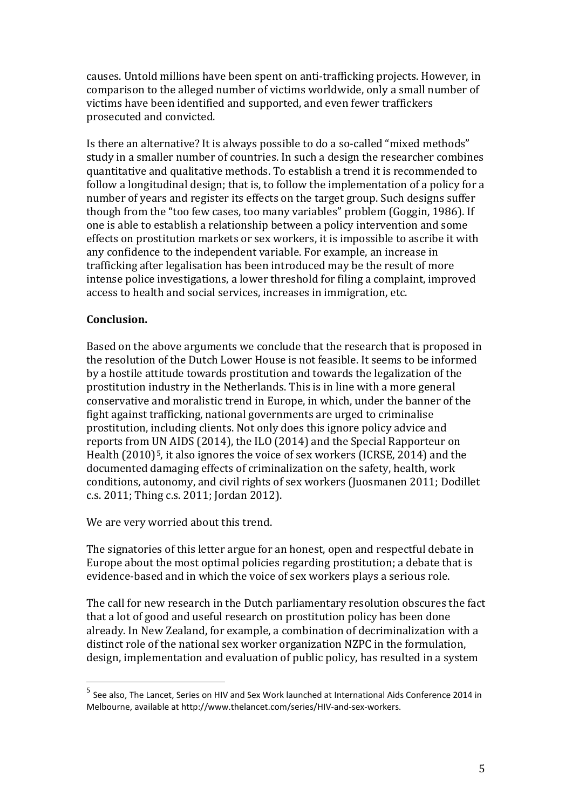causes. Untold millions have been spent on anti-trafficking projects. However, in comparison to the alleged number of victims worldwide, only a small number of victims have been identified and supported, and even fewer traffickers prosecuted and convicted.

Is there an alternative? It is always possible to do a so-called "mixed methods" study in a smaller number of countries. In such a design the researcher combines quantitative and qualitative methods. To establish a trend it is recommended to follow a longitudinal design; that is, to follow the implementation of a policy for a number of years and register its effects on the target group. Such designs suffer though from the "too few cases, too many variables" problem (Goggin, 1986). If one is able to establish a relationship between a policy intervention and some effects on prostitution markets or sex workers, it is impossible to ascribe it with any confidence to the independent variable. For example, an increase in trafficking after legalisation has been introduced may be the result of more intense police investigations, a lower threshold for filing a complaint, improved access to health and social services, increases in immigration, etc.

## **Conclusion.**

Based on the above arguments we conclude that the research that is proposed in the resolution of the Dutch Lower House is not feasible. It seems to be informed by a hostile attitude towards prostitution and towards the legalization of the prostitution industry in the Netherlands. This is in line with a more general conservative and moralistic trend in Europe, in which, under the banner of the fight against trafficking, national governments are urged to criminalise prostitution, including clients. Not only does this ignore policy advice and reports from UN AIDS (2014), the ILO (2014) and the Special Rapporteur on Health (2010)<sup>[5](#page-4-0)</sup>, it also ignores the voice of sex workers (ICRSE, 2014) and the documented damaging effects of criminalization on the safety, health, work conditions, autonomy, and civil rights of sex workers (Juosmanen 2011; Dodillet c.s. 2011; Thing c.s. 2011; Jordan 2012).

We are very worried about this trend.

The signatories of this letter argue for an honest, open and respectful debate in Europe about the most optimal policies regarding prostitution; a debate that is evidence-based and in which the voice of sex workers plays a serious role.

The call for new research in the Dutch parliamentary resolution obscures the fact that a lot of good and useful research on prostitution policy has been done already. In New Zealand, for example, a combination of decriminalization with a distinct role of the national sex worker organization NZPC in the formulation, design, implementation and evaluation of public policy, has resulted in a system

<span id="page-4-0"></span><sup>5</sup> See also, The Lancet, Series on HIV and Sex Work launched at International Aids Conference 2014 in Melbourne, available at http://www.thelancet.com/series/HIV-and-sex-workers.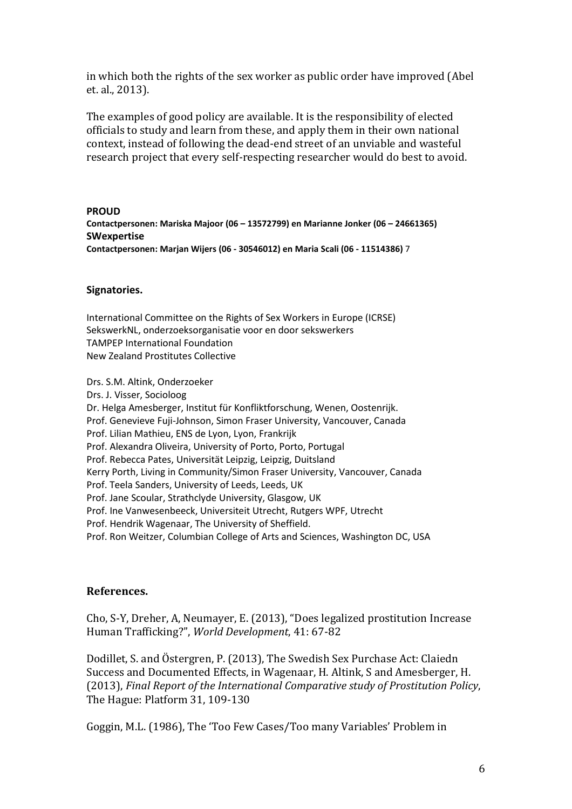in which both the rights of the sex worker as public order have improved (Abel et. al., 2013).

The examples of good policy are available. It is the responsibility of elected officials to study and learn from these, and apply them in their own national context, instead of following the dead-end street of an unviable and wasteful research project that every self-respecting researcher would do best to avoid.

**PROUD Contactpersonen: Mariska Majoor (06 – 13572799) en Marianne Jonker (06 – 24661365) SWexpertise Contactpersonen: Marjan Wijers (06 - 30546012) en Maria Scali (06 - 11514386)** 7

#### **Signatories.**

International Committee on the Rights of Sex Workers in Europe (ICRSE) SekswerkNL, onderzoeksorganisatie voor en door sekswerkers TAMPEP International Foundation New Zealand Prostitutes Collective

Drs. S.M. Altink, Onderzoeker Drs. J. Visser, Socioloog Dr. Helga Amesberger, Institut für Konfliktforschung, Wenen, Oostenrijk. Prof. Genevieve Fuji-Johnson, Simon Fraser University, Vancouver, Canada Prof. Lilian Mathieu, ENS de Lyon, Lyon, Frankrijk Prof. Alexandra Oliveira, University of Porto, Porto, Portugal Prof. Rebecca Pates, Universität Leipzig, Leipzig, Duitsland Kerry Porth, Living in Community/Simon Fraser University, Vancouver, Canada Prof. Teela Sanders, University of Leeds, Leeds, UK Prof. Jane Scoular, Strathclyde University, Glasgow, UK Prof. Ine Vanwesenbeeck, Universiteit Utrecht, Rutgers WPF, Utrecht Prof. Hendrik Wagenaar, The University of Sheffield. Prof. Ron Weitzer, Columbian College of Arts and Sciences, Washington DC, USA

#### **References.**

Cho, S-Y, Dreher, A, Neumayer, E. (2013), "Does legalized prostitution Increase Human Trafficking?", *World Development*, 41: 67-82

Dodillet, S. and Östergren, P. (2013), The Swedish Sex Purchase Act: Claiedn Success and Documented Effects, in Wagenaar, H. Altink, S and Amesberger, H. (2013), *Final Report of the International Comparative study of Prostitution Policy*, The Hague: Platform 31, 109-130

Goggin, M.L. (1986), The 'Too Few Cases/Too many Variables' Problem in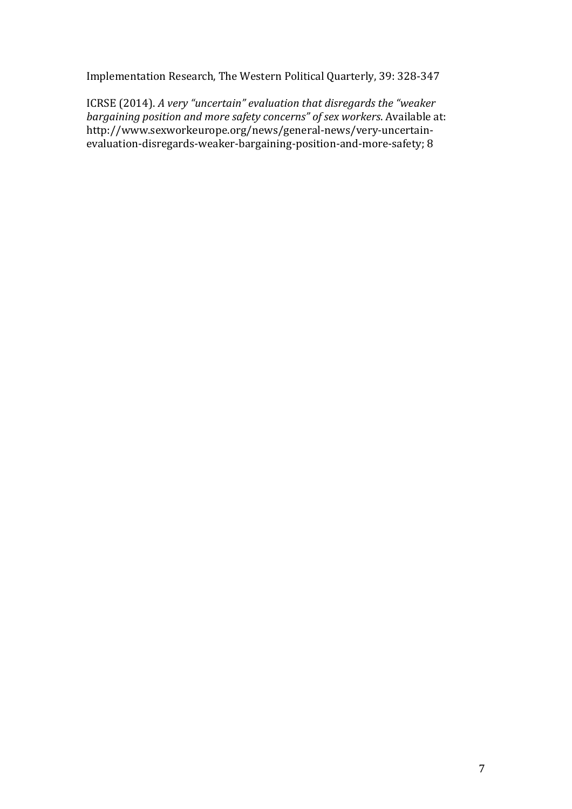Implementation Research, The Western Political Quarterly, 39: 328-347

ICRSE (2014). *A very "uncertain" evaluation that disregards the "weaker bargaining position and more safety concerns" of sex workers*. Available at: http://www.sexworkeurope.org/news/general-news/very-uncertainevaluation-disregards-weaker-bargaining-position-and-more-safety; 8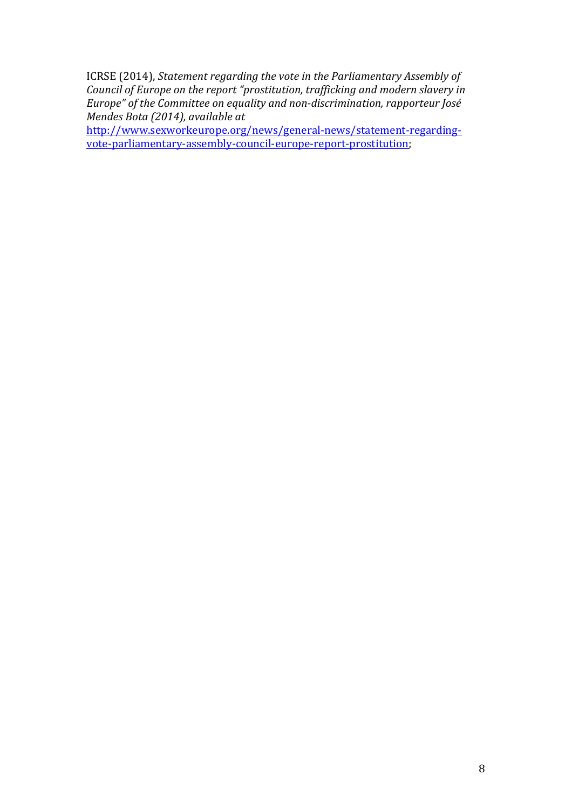ICRSE (2014), *Statement regarding the vote in the Parliamentary Assembly of Council of Europe on the report "prostitution, trafficking and modern slavery in Europe" of the Committee on equality and non-discrimination, rapporteur José Mendes Bota (2014), available at* 

[http://www.sexworkeurope.org/news/general-news/statement-regarding](http://www.sexworkeurope.org/news/general-news/statement-regarding-vote-parliamentary-assembly-council-europe-report-prostitution)[vote-parliamentary-assembly-council-europe-report-prostitution;](http://www.sexworkeurope.org/news/general-news/statement-regarding-vote-parliamentary-assembly-council-europe-report-prostitution)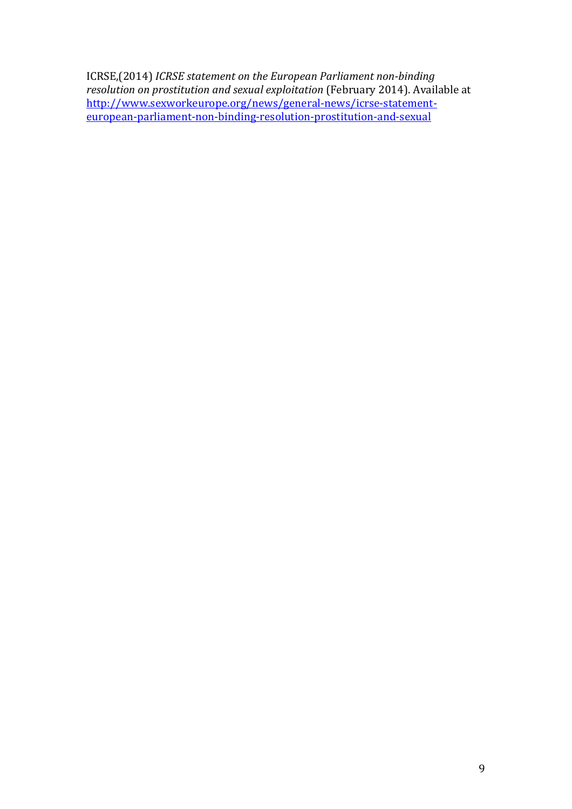ICRSE,(2014) *ICRSE statement on the European Parliament non-binding resolution on prostitution and sexual exploitation* (February 2014). Available at [http://www.sexworkeurope.org/news/general-news/icrse-statement](http://www.sexworkeurope.org/news/general-news/icrse-statement-european-parliament-non-binding-resolution-prostitution-and-sexual)[european-parliament-non-binding-resolution-prostitution-and-sexual](http://www.sexworkeurope.org/news/general-news/icrse-statement-european-parliament-non-binding-resolution-prostitution-and-sexual)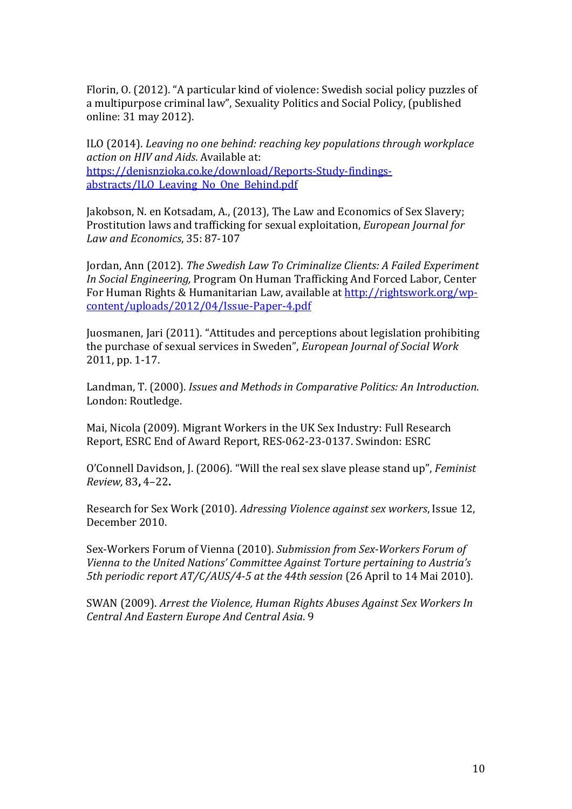Florin, O. (2012). "A particular kind of violence: Swedish social policy puzzles of a multipurpose criminal law", Sexuality Politics and Social Policy, (published online: 31 may 2012).

ILO (2014). *Leaving no one behind: reaching key populations through workplace action on HIV and Aids*. Available at: [https://denisnzioka.co.ke/download/Reports-Study-findings](https://denisnzioka.co.ke/download/Reports-Study-findings-abstracts/ILO_Leaving_No_One_Behind.pdf)[abstracts/ILO\\_Leaving\\_No\\_One\\_Behind.pdf](https://denisnzioka.co.ke/download/Reports-Study-findings-abstracts/ILO_Leaving_No_One_Behind.pdf)

Jakobson, N. en Kotsadam, A., (2013), The Law and Economics of Sex Slavery; Prostitution laws and trafficking for sexual exploitation, *European Journal for Law and Economics*, 35: 87-107

Jordan, Ann (2012). *The Swedish Law To Criminalize Clients: A Failed Experiment In Social Engineering,* Program On Human Trafficking And Forced Labor, Center For Human Rights & Humanitarian Law, available at [http://rightswork.org/wp](http://rightswork.org/wp-content/uploads/2012/04/Issue-Paper-4.pdf)[content/uploads/2012/04/Issue-Paper-4.pdf](http://rightswork.org/wp-content/uploads/2012/04/Issue-Paper-4.pdf)

Juosmanen, Jari (2011). "Attitudes and perceptions about legislation prohibiting the purchase of sexual services in Sweden", *European Journal of Social Work*  2011, pp. 1-17.

Landman, T. (2000). *Issues and Methods in Comparative Politics: An Introduction*. London: Routledge.

Mai, Nicola (2009). Migrant Workers in the UK Sex Industry: Full Research Report, ESRC End of Award Report, RES-062-23-0137. Swindon: ESRC

O'Connell Davidson, J. (2006). "Will the real sex slave please stand up", *Feminist Review,* 83**,** 4–22**.** 

Research for Sex Work (2010). *Adressing Violence against sex workers*, Issue 12, December 2010.

Sex-Workers Forum of Vienna (2010). *Submission from Sex-Workers Forum of Vienna to the United Nations' Committee Against Torture pertaining to Austria's 5th periodic report AT/C/AUS/4-5 at the 44th session* (26 April to 14 Mai 2010).

SWAN (2009). *Arrest the Violence, Human Rights Abuses Against Sex Workers In Central And Eastern Europe And Central Asia*. 9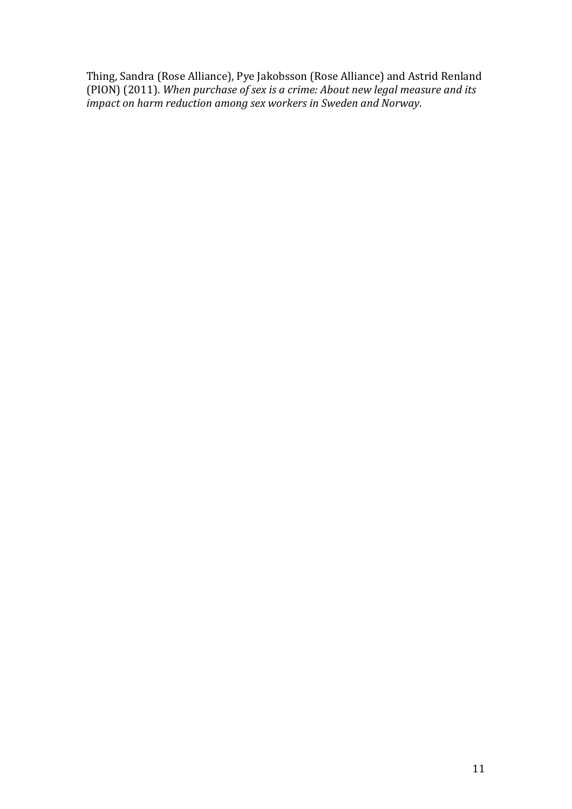Thing, Sandra (Rose Alliance), Pye Jakobsson (Rose Alliance) and Astrid Renland (PION) (2011). *When purchase of sex is a crime: About new legal measure and its impact on harm reduction among sex workers in Sweden and Norway*.